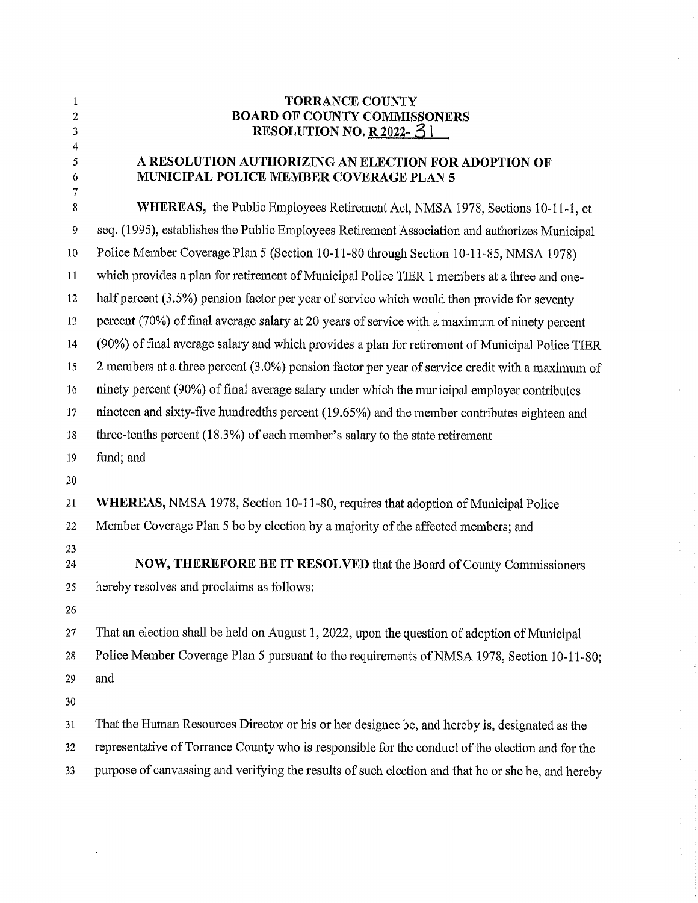| 1<br>$\overline{c}$<br>3 | <b>TORRANCE COUNTY</b><br><b>BOARD OF COUNTY COMMISSONERS</b><br>RESOLUTION NO. R 2022- $31$       |
|--------------------------|----------------------------------------------------------------------------------------------------|
| 4<br>5<br>6              | A RESOLUTION AUTHORIZING AN ELECTION FOR ADOPTION OF<br>MUNICIPAL POLICE MEMBER COVERAGE PLAN 5    |
| 7<br>8                   | <b>WHEREAS</b> , the Public Employees Retirement Act, NMSA 1978, Sections 10-11-1, et              |
| 9                        | seq. (1995), establishes the Public Employees Retirement Association and authorizes Municipal      |
| 10                       | Police Member Coverage Plan 5 (Section 10-11-80 through Section 10-11-85, NMSA 1978)               |
| 11                       | which provides a plan for retirement of Municipal Police TIER 1 members at a three and one-        |
| 12                       | half percent (3.5%) pension factor per year of service which would then provide for seventy        |
| 13                       | percent (70%) of final average salary at 20 years of service with a maximum of ninety percent      |
| 14                       | (90%) of final average salary and which provides a plan for retirement of Municipal Police TIER    |
| 15                       | 2 members at a three percent (3.0%) pension factor per year of service credit with a maximum of    |
| 16                       | ninety percent (90%) of final average salary under which the municipal employer contributes        |
| 17                       | nineteen and sixty-five hundredths percent (19.65%) and the member contributes eighteen and        |
| 18                       | three-tenths percent (18.3%) of each member's salary to the state retirement                       |
| 19                       | fund; and                                                                                          |
| 20                       |                                                                                                    |
| 21                       | WHEREAS, NMSA 1978, Section 10-11-80, requires that adoption of Municipal Police                   |
| 22                       | Member Coverage Plan 5 be by election by a majority of the affected members; and                   |
| 23<br>24                 | <b>NOW, THEREFORE BE IT RESOLVED that the Board of County Commissioners</b>                        |
| 25                       | hereby resolves and proclaims as follows:                                                          |
| 26                       |                                                                                                    |
| 27                       | That an election shall be held on August 1, 2022, upon the question of adoption of Municipal       |
| 28                       | Police Member Coverage Plan 5 pursuant to the requirements of NMSA 1978, Section 10-11-80;         |
| 29                       | and                                                                                                |
| 30                       |                                                                                                    |
| 31                       | That the Human Resources Director or his or her designee be, and hereby is, designated as the      |
| 32                       | representative of Torrance County who is responsible for the conduct of the election and for the   |
| 33                       | purpose of canvassing and verifying the results of such election and that he or she be, and hereby |

 $\frac{1}{\sqrt{2}}$ 

 $\frac{1}{2}$ 

 $\frac{1}{\sqrt{2\pi}}\int_0^1\frac{1}{\sqrt{2\pi}}\left(\frac{1}{2\sqrt{2\pi}}\right)^2\frac{1}{2\sqrt{2\pi}}\left(\frac{1}{2\sqrt{2\pi}}\right)^2\frac{1}{2\sqrt{2\pi}}\left(\frac{1}{2\sqrt{2\pi}}\right)^2\frac{1}{2\sqrt{2\pi}}\left(\frac{1}{2\sqrt{2\pi}}\right)^2\frac{1}{2\sqrt{2\pi}}\left(\frac{1}{2\sqrt{2\pi}}\right)^2\frac{1}{2\sqrt{2\pi}}\left(\frac{1}{2\sqrt{2\pi}}\right)^2\frac{1}{2\sqrt{2\$ 

 $\hat{\mathcal{L}}$ 

 $\frac{1}{2}$ 

 $\frac{1}{3}$